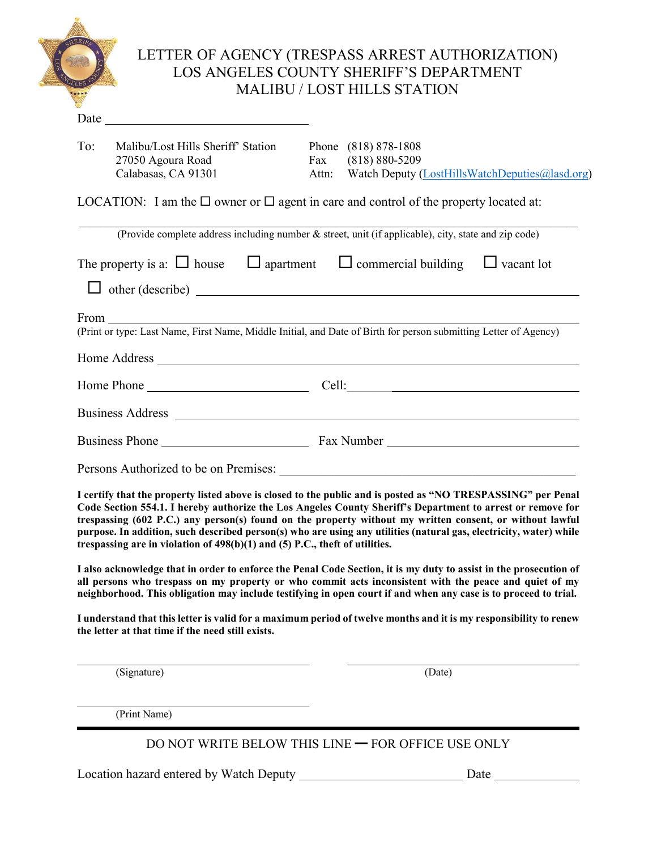|                                                                                                                                                                                                                                                                                                                                                | LETTER OF AGENCY (TRESPASS ARREST AUTHORIZATION)<br>LOS ANGELES COUNTY SHERIFF'S DEPARTMENT<br><b>MALIBU / LOST HILLS STATION</b>                                                                                                                                                                                                            |
|------------------------------------------------------------------------------------------------------------------------------------------------------------------------------------------------------------------------------------------------------------------------------------------------------------------------------------------------|----------------------------------------------------------------------------------------------------------------------------------------------------------------------------------------------------------------------------------------------------------------------------------------------------------------------------------------------|
|                                                                                                                                                                                                                                                                                                                                                |                                                                                                                                                                                                                                                                                                                                              |
| To:<br>Malibu/Lost Hills Sheriff' Station<br>27050 Agoura Road<br>Calabasas, CA 91301                                                                                                                                                                                                                                                          | Phone (818) 878-1808<br>Fax (818) 880-5209<br>Attn: Watch Deputy (LostHillsWatchDeputies@lasd.org)                                                                                                                                                                                                                                           |
|                                                                                                                                                                                                                                                                                                                                                | LOCATION: I am the $\Box$ owner or $\Box$ agent in care and control of the property located at:                                                                                                                                                                                                                                              |
|                                                                                                                                                                                                                                                                                                                                                | (Provide complete address including number & street, unit (if applicable), city, state and zip code)                                                                                                                                                                                                                                         |
|                                                                                                                                                                                                                                                                                                                                                | The property is a: $\Box$ house $\Box$ apartment $\Box$ commercial building $\Box$ vacant lot<br>$\Box$ other (describe) $\Box$<br>From<br>(Print or type: Last Name, First Name, Middle Initial, and Date of Birth for person submitting Letter of Agency)                                                                                  |
|                                                                                                                                                                                                                                                                                                                                                |                                                                                                                                                                                                                                                                                                                                              |
|                                                                                                                                                                                                                                                                                                                                                | Business Phone <u>Fax Number</u> Fax Number                                                                                                                                                                                                                                                                                                  |
|                                                                                                                                                                                                                                                                                                                                                | I certify that the property listed above is closed to the public and is posted as "NO TRESPASSING" per Penal                                                                                                                                                                                                                                 |
| trespassing are in violation of 498(b)(1) and (5) P.C., theft of utilities.                                                                                                                                                                                                                                                                    | Code Section 554.1. I hereby authorize the Los Angeles County Sheriff's Department to arrest or remove for<br>trespassing (602 P.C.) any person(s) found on the property without my written consent, or without lawful<br>purpose. In addition, such described person(s) who are using any utilities (natural gas, electricity, water) while |
| I also acknowledge that in order to enforce the Penal Code Section, it is my duty to assist in the prosecution of<br>all persons who trespass on my property or who commit acts inconsistent with the peace and quiet of my<br>neighborhood. This obligation may include testifying in open court if and when any case is to proceed to trial. |                                                                                                                                                                                                                                                                                                                                              |

**I understand that this letter is valid for a maximum period of twelve months and it is my responsibility to renew the letter at that time if the need still exists.**

(Signature) (Date)

 $\overline{a}$ 

 $\overline{a}$ 

(Print Name)

DO NOT WRITE BELOW THIS LINE ━ FOR OFFICE USE ONLY

Location hazard entered by Watch Deputy Date Date Date